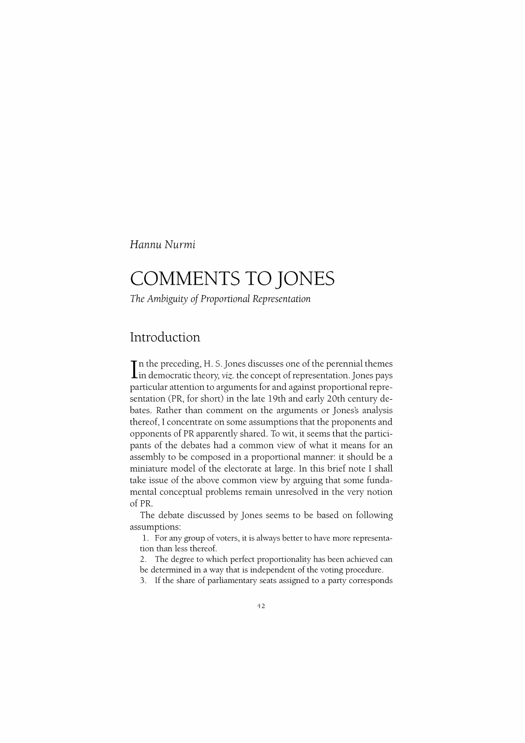Hannu Nurmi

# **COMMENTS TO JONES**

*The Ambiguity of Proportional Representation* 

### **Introduction**

In the preceding, H. S. Jones discusses one of the perennial themes<br>In democratic theory, *viz*. the concept of representation. Jones pays particular attention to arguments for and against proportional representation (PR, for short) in the late 19th and early 20th century debates. Rather than comment on the arguments or Jones's analysis thereof, I concentrate on some assumptions that the proponents and opponents of PR apparently shared. To wit, it seems that the participants of the debates had a common view of what it means for an assembly to be composed in a proportional manner: it should be a miniature model of the electorate at large. In this brief note I shall take issue of the above common view by arguing that some fundamental conceptual problems remain unresolved in the very notion of PR.

The debate discussed by Jones seems to be based on following assumptions:

1. For any group of voters, it is always better to have more representation than less thereof.

2. The degree to which perfect proportionality has been achieved can be determined in a way that is independent of the voting procedure.

3. If the share of parliamentary seats assigned to a party corresponds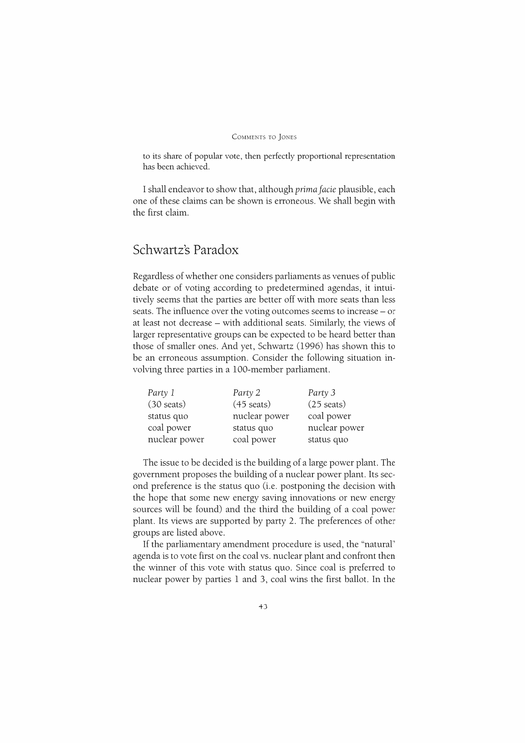to its share of popular vote, then perfectly proportional representation has been achieved.

I shall endeavor to show that, although *prima facie* plausible, each one of these claims can be shown is erroneous. We shall begin with the first claim.

## **Schwartz's Paradox**

Regardless of whether one considers parliaments as venues of public debate or of voting according to predetermined agendas, it intuitively seems that the parties are better off with more seats than less seats. The influence over the voting outcomes seems to increase- or at least not decrease - with additional seats. Similarly, the views of larger representative groups can be expected to be heard better than those of smaller ones. And yet, Schwartz (1996) has shown this to be an erroneous assumption. Consider the following situation involving three parties in a 100-member parliament.

| Party 1              | Party 2              | Party 3              |
|----------------------|----------------------|----------------------|
| $(30 \text{ seats})$ | $(45 \text{ seats})$ | $(25 \text{ seats})$ |
| status quo           | nuclear power        | coal power           |
| coal power           | status quo           | nuclear power        |
| nuclear power        | coal power           | status quo           |

The issue to be decided is the building of a large power plant. The government proposes the building of a nuclear power plant. Its second preference is the status quo (i.e. postponing the decision with the hope that some new energy saving innovations or new energy sources will be found) and the third the building of a coal power plant. Its views are supported by party 2. The preferences of other groups are listed above.

If the parliamentary amendment procedure is used, the "natural" agenda is to vote first on the coal vs. nuclear plant and confront then the winner of this vote with status quo. Since coal is preferred to nuclear power by parties 1 and 3, coal wins the first ballot. In the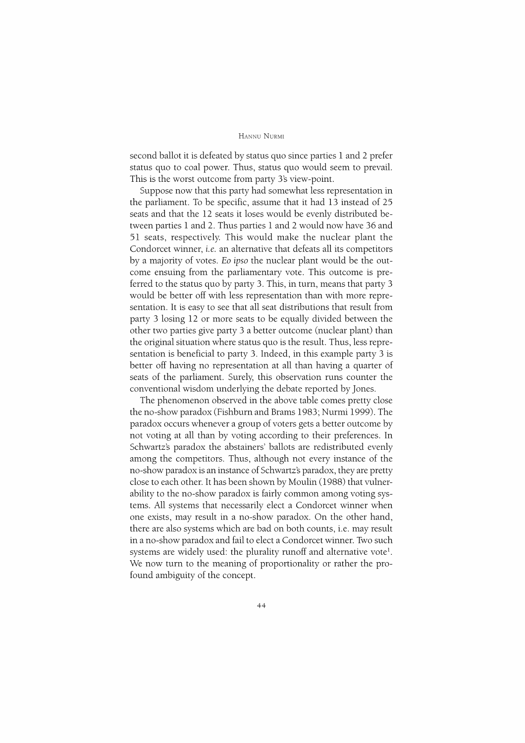#### HANNU NuRMI

second ballot it is defeated by status quo since parties 1 and 2 prefer status quo to coal power. Thus, status quo would seem to prevail. This is the worst outcome from party 3's view-point.

Suppose now that this party had somewhat less representation in the parliament. To be specific, assume that it had 13 instead of 25 seats and that the 12 seats it loses would be evenly distributed between parties 1 and 2. Thus parties 1 and 2 would now have 36 and 51 seats, respectively. This would make the nuclear plant the Condorcet winner, *i.e.* an alternative that defeats all its competitors by a majority of votes. *Eo ipso* the nuclear plant would be the outcome ensuing from the parliamentary vote. This outcome is preferred to the status quo by party 3. This, in turn, means that party 3 would be better off with less representation than with more representation. It is easy to see that all seat distributions that result from party 3 losing 12 or more seats to be equally divided between the other two parties give party 3 a better outcome (nuclear plant) than the original situation where status quo is the result. Thus, less representation is beneficial to party 3. Indeed, in this example party 3 is better off having no representation at all than having a quarter of seats of the parliament. Surely, this observation runs counter the conventional wisdom underlying the debate reported by Jones.

The phenomenon observed in the above table comes pretty close the no-show paradox (Fishburn and Brams 1983; Nurmi 1999). The paradox occurs whenever a group of voters gets a better outcome by not voting at all than by voting according to their preferences. In Schwartz's paradox the abstainers' ballots are redistributed evenly among the competitors. Thus, although not every instance of the no-show paradox is an instance of Schwartz's paradox, they are pretty close to each other. It has been shown by Moulin (1988) that vulnerability to the no-show paradox is fairly common among voting systems. All systems that necessarily elect a Condorcet winner when one exists, may result in a no-show paradox. On the other hand, there are also systems which are bad on both counts, i.e. may result in a no-show paradox and fail to elect a Condorcet winner. Two such systems are widely used: the plurality runoff and alternative vote<sup>1</sup>. We now turn to the meaning of proportionality or rather the profound ambiguity of the concept.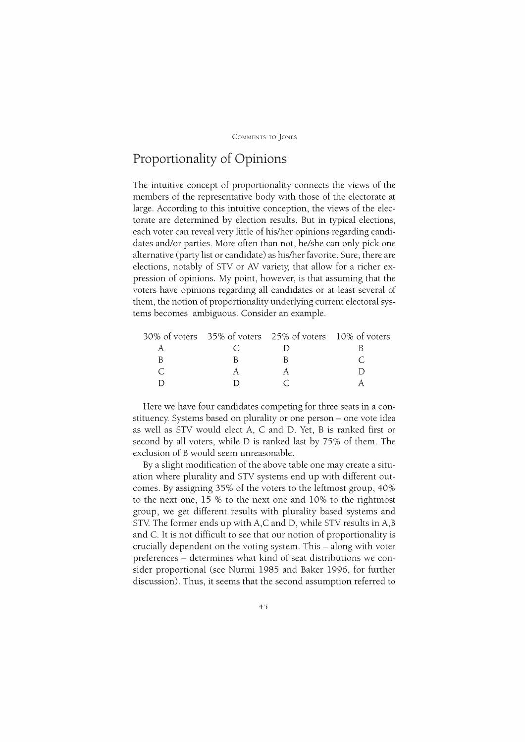# **Proportionality of Opinions**

The intuitive concept of proportionality connects the views of the members of the representative body with those of the electorate at large. According to this intuitive conception, the views of the electorate are determined by election results. But in typical elections, each voter can reveal very little of his/her opinions regarding candidates and/or parties. More often than not, he/she can only pick one alternative (party list or candidate) as his/her favorite. Sure, there are elections, notably of STV or AY variety, that allow for a richer expression of opinions. My point, however, is that assuming that the voters have opinions regarding all candidates or at least several of them, the notion of proportionality underlying current electoral systems becomes ambiguous. Consider an example.

|  | 30% of voters 35% of voters 25% of voters 10% of voters |
|--|---------------------------------------------------------|

Here we have four candidates competing for three seats in a constituency. Systems based on plurality or one person- one vote idea as well as STV would elect A, C and D. Yet, B is ranked first or second by all voters, while D is ranked last by 75% of them. The exclusion of B would seem unreasonable.

By a slight modification of the above table one may create a situation where plurality and STY systems end up with different outcomes. By assigning 35% of the voters to the leftmost group, 40% to the next one, 15 % to the next one and 10% to the rightmost group, we get different results with plurality based systems and STV. The former ends up with A,C and D, while STV results in A,B and C. It is not difficult to see that our notion of proportionality is crucially dependent on the voting system. This - along with voter preferences - determines what kind of seat distributions we consider proportional (see Nurmi 1985 and Baker 1996, for further discussion). Thus, it seems that the second assumption referred to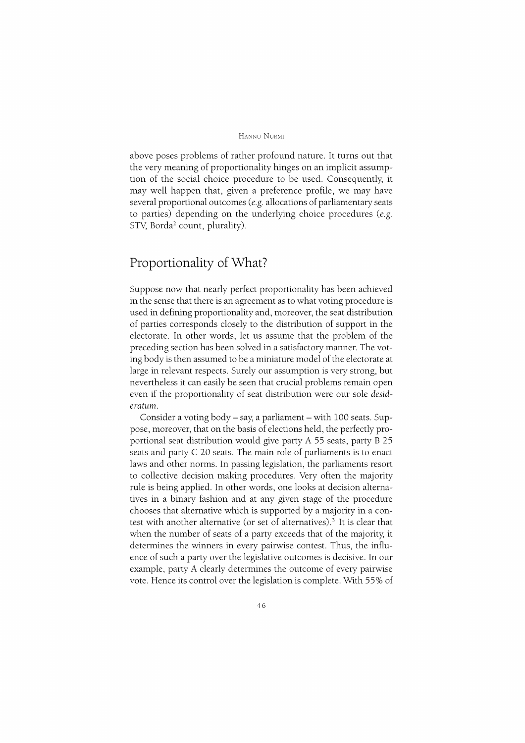#### HANNU NuRMI

above poses problems of rather profound nature. It turns out that the very meaning of proportionality hinges on an implicit assumption of the social choice procedure to be used. Consequently, it may well happen that, given a preference profile, we may have several proportional outcomes (e.g. allocations of parliamentary seats to parties) depending on the underlying choice procedures (e.g. STV, Borda<sup>2</sup> count, plurality).

### **Proportionality of What?**

Suppose now that nearly perfect proportionality has been achieved in the sense that there is an agreement as to what voting procedure is used in defining proportionality and, moreover, the seat distribution of parties corresponds closely to the distribution of support in the electorate. In other words, let us assume that the problem of the preceding section has been solved in a satisfactory manner. The voting body is then assumed to be a miniature model of the electorate at large in relevant respects. Surely our assumption is very strong, but nevertheless it can easily be seen that crucial problems remain open even if the proportionality of seat distribution were our sole *desideratum.* 

Consider a voting body- say, a parliament- with 100 seats. Suppose, moreover, that on the basis of elections held, the perfectly proportional seat distribution would give party A 55 seats, party B 25 seats and party C 20 seats. The main role of parliaments is to enact laws and other norms. In passing legislation, the parliaments resort to collective decision making procedures. Very often the majority rule is being applied. In other words, one looks at decision alternatives in a binary fashion and at any given stage of the procedure chooses that alternative which is supported by a majority in a contest with another alternative (or set of alternatives).<sup>3</sup> It is clear that when the number of seats of a party exceeds that of the majority, it determines the winners in every pairwise contest. Thus, the influence of such a party over the legislative outcomes is decisive. In our example, party A clearly determines the outcome of every pairwise vote. Hence its control over the legislation is complete. With 55% of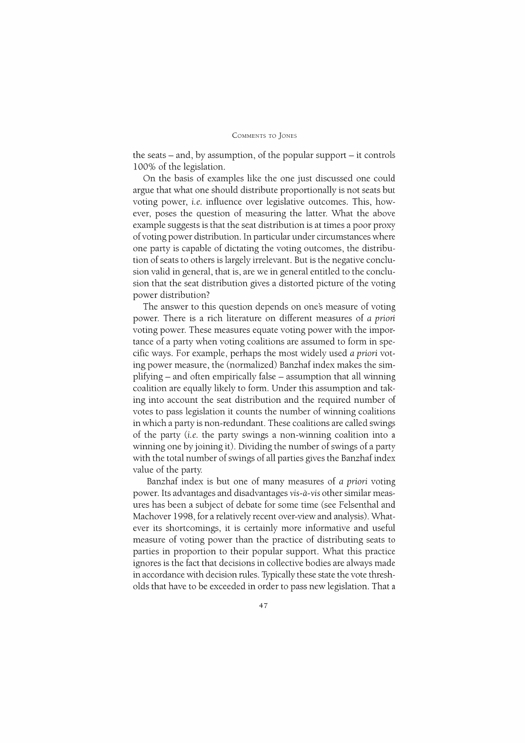the seats  $-$  and, by assumption, of the popular support  $-$  it controls 100% of the legislation.

On the basis of examples like the one just discussed one could argue that what one should distribute proportionally is not seats but voting power, *i.e.* influence over legislative outcomes. This, however, poses the question of measuring the latter. What the above example suggests is that the seat distribution is at times a poor proxy of voting power distribution. In particular under circumstances where one party is capable of dictating the voting outcomes, the distribution of seats to others is largely irrelevant. But is the negative conclusion valid in general, that is, are we in general entitled to the conclusion that the seat distribution gives a distorted picture of the voting power distribution?

The answer to this question depends on one's measure of voting power. There is a rich literature on different measures of *a priori*  voting power. These measures equate voting power with the importance of a party when voting coalitions are assumed to form in specific ways. For example, perhaps the most widely used *a priori* voting power measure, the (normalized) Banzhaf index makes the simplifying – and often empirically false – assumption that all winning coalition are equally likely to form. Under this assumption and taking into account the seat distribution and the required number of votes to pass legislation it counts the number of winning coalitions in which a party is non-redundant. These coalitions are called swings of the party (i.e. the party swings a non-winning coalition into a winning one by joining it). Dividing the number of swings of a party with the total number of swings of all parties gives the Banzhaf index value of the party

Banzhaf index is but one of many measures of *a priori* voting power. Its advantages and disadvantages *vis-a-vis* other similar measures has been a subject of debate for some time (see Felsenthal and Machover 1998, for a relatively recent over-view and analysis). Whatever its shortcomings, it is certainly more informative and useful measure of voting power than the practice of distributing seats to parties in proportion to their popular support. What this practice ignores is the fact that decisions in collective bodies are always made in accordance with decision rules. Typically these state the vote thresholds that have to be exceeded in order to pass new legislation. That a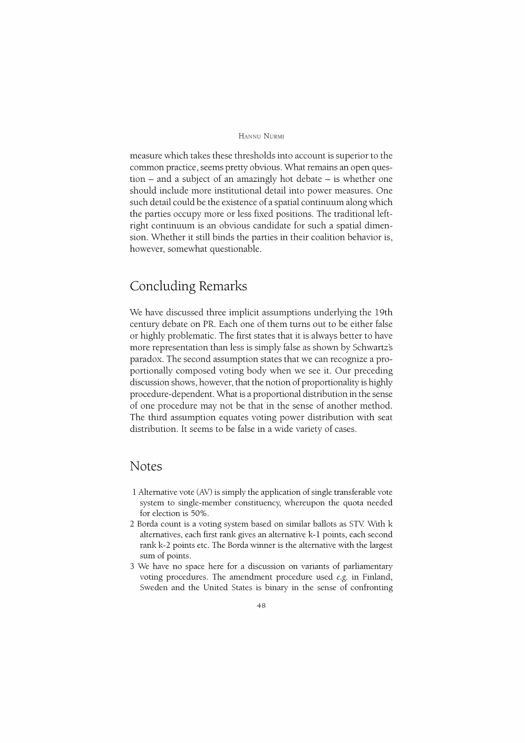#### HANNU NuRMI

measure which takes these thresholds into account is superior to the common practice, seems pretty obvious. What remains an open ques $tion - and a subject of an amazingly hot debate – is whether one$ should include more institutional detail into power measures. One such detail could be the existence of a spatial continuum along which the parties occupy more or less fixed positions. The traditional leftright continuum is an obvious candidate for such a spatial dimension. Whether it still binds the parties in their coalition behavior is, however, somewhat questionable.

### Concluding Remarks

We have discussed three implicit assumptions underlying the 19th century debate on PR. Each one of them turns out to be either false or highly problematic. The first states that it is always better to have more representation than less is simply false as shown by Schwartz's paradox. The second assumption states that we can recognize a proportionally composed voting body when we see it. Our preceding discussion shows, however, that the notion of proportionality is highly procedure-dependent. What is a proportional distribution in the sense of one procedure may not be that in the sense of another method. The third assumption equates voting power distribution with seat distribution. It seems to be false in a wide variety of cases.

#### Notes

- l Alternative vote (AV) is simply the application of single transferable vote system to single-member constituency, whereupon the quota needed for election is 50%.
- *2* Borda count is a voting system based on similar ballots as STY. With k alternatives, each first rank gives an alternative k-1 points, each second rank k-2 points etc. The Borda winner is the alternative with the largest sum of points.
- 3 We have no space here for a discussion on variants of parliamentary voting procedures. The amendment procedure used *e.g.* in Finland, Sweden and the United States is binary in the sense of confronting